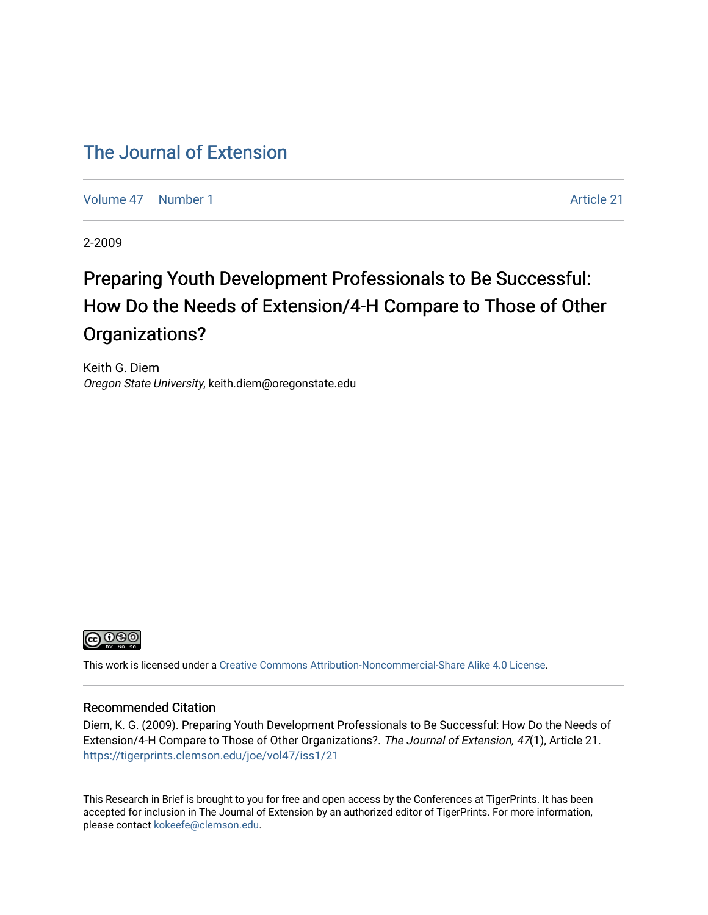# [The Journal of Extension](https://tigerprints.clemson.edu/joe)

[Volume 47](https://tigerprints.clemson.edu/joe/vol47) | [Number 1](https://tigerprints.clemson.edu/joe/vol47/iss1) Article 21

2-2009

# Preparing Youth Development Professionals to Be Successful: How Do the Needs of Extension/4-H Compare to Those of Other Organizations?

Keith G. Diem Oregon State University, keith.diem@oregonstate.edu



This work is licensed under a [Creative Commons Attribution-Noncommercial-Share Alike 4.0 License.](https://creativecommons.org/licenses/by-nc-sa/4.0/)

#### Recommended Citation

Diem, K. G. (2009). Preparing Youth Development Professionals to Be Successful: How Do the Needs of Extension/4-H Compare to Those of Other Organizations?. The Journal of Extension, 47(1), Article 21. <https://tigerprints.clemson.edu/joe/vol47/iss1/21>

This Research in Brief is brought to you for free and open access by the Conferences at TigerPrints. It has been accepted for inclusion in The Journal of Extension by an authorized editor of TigerPrints. For more information, please contact [kokeefe@clemson.edu](mailto:kokeefe@clemson.edu).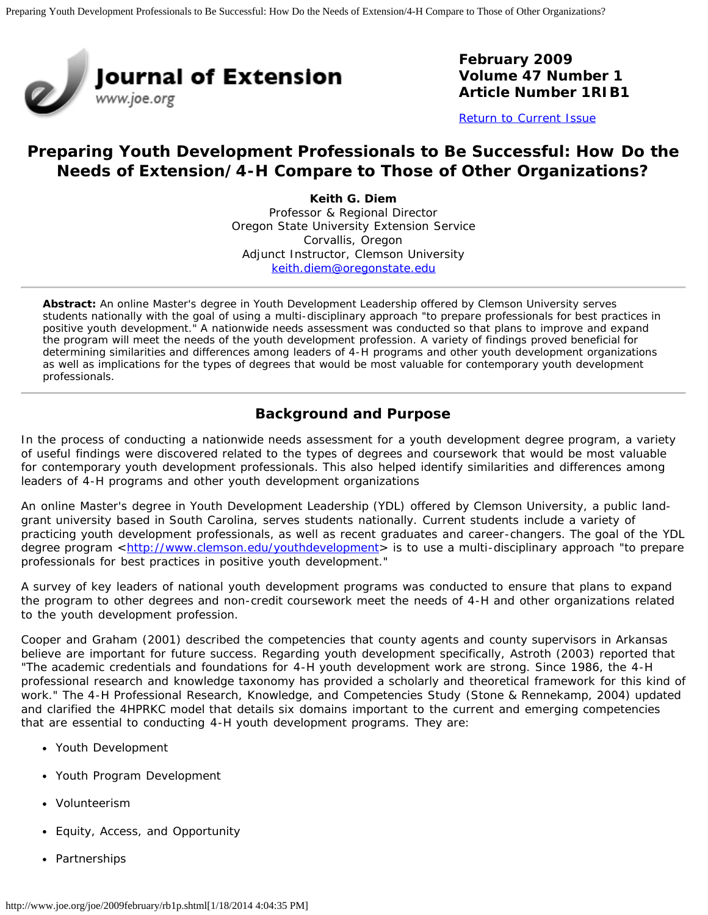

**February 2009 Volume 47 Number 1 Article Number 1RIB1**

[Return to Current Issue](http://www.joe.org/joe/2009february/)

# **Preparing Youth Development Professionals to Be Successful: How Do the Needs of Extension/4-H Compare to Those of Other Organizations?**

**Keith G. Diem** Professor & Regional Director Oregon State University Extension Service Corvallis, Oregon Adjunct Instructor, Clemson University [keith.diem@oregonstate.edu](mailto:keith.diem@oregonstate.edu)

*Abstract: An online Master's degree in Youth Development Leadership offered by Clemson University serves students nationally with the goal of using a multi-disciplinary approach "to prepare professionals for best practices in positive youth development." A nationwide needs assessment was conducted so that plans to improve and expand the program will meet the needs of the youth development profession. A variety of findings proved beneficial for determining similarities and differences among leaders of 4-H programs and other youth development organizations as well as implications for the types of degrees that would be most valuable for contemporary youth development professionals.*

# **Background and Purpose**

In the process of conducting a nationwide needs assessment for a youth development degree program, a variety of useful findings were discovered related to the types of degrees and coursework that would be most valuable for contemporary youth development professionals. This also helped identify similarities and differences among leaders of 4-H programs and other youth development organizations

An online Master's degree in Youth Development Leadership (YDL) offered by Clemson University, a public landgrant university based in South Carolina, serves students nationally. Current students include a variety of practicing youth development professionals, as well as recent graduates and career-changers. The goal of the YDL degree program <<http://www.clemson.edu/youthdevelopment>> is to use a multi-disciplinary approach "to prepare professionals for best practices in positive youth development."

A survey of key leaders of national youth development programs was conducted to ensure that plans to expand the program to other degrees and non-credit coursework meet the needs of 4-H and other organizations related to the youth development profession.

Cooper and Graham (2001) described the competencies that county agents and county supervisors in Arkansas believe are important for future success. Regarding youth development specifically, Astroth (2003) reported that "The academic credentials and foundations for 4-H youth development work are strong. Since 1986, the 4-H professional research and knowledge taxonomy has provided a scholarly and theoretical framework for this kind of work." The 4-H Professional Research, Knowledge, and Competencies Study (Stone & Rennekamp, 2004) updated and clarified the 4HPRKC model that details six domains important to the current and emerging competencies that are essential to conducting 4-H youth development programs. They are:

- Youth Development
- Youth Program Development
- Volunteerism
- Equity, Access, and Opportunity
- Partnerships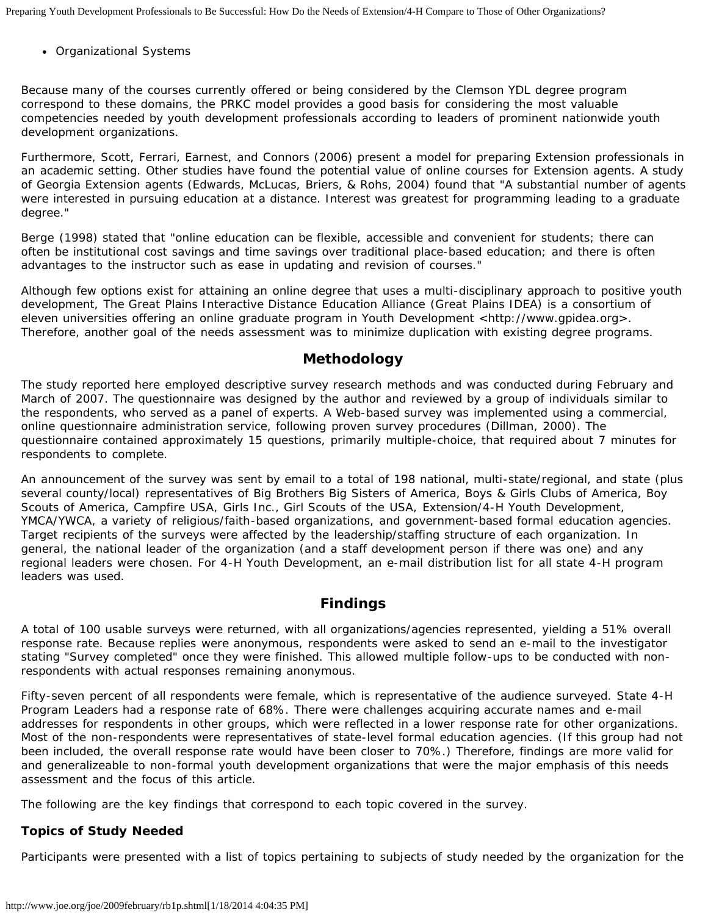Organizational Systems

Because many of the courses currently offered or being considered by the Clemson YDL degree program correspond to these domains, the PRKC model provides a good basis for considering the most valuable competencies needed by youth development professionals according to leaders of prominent nationwide youth development organizations.

Furthermore, Scott, Ferrari, Earnest, and Connors (2006) present a model for preparing Extension professionals in an academic setting. Other studies have found the potential value of online courses for Extension agents. A study of Georgia Extension agents (Edwards, McLucas, Briers, & Rohs, 2004) found that "A substantial number of agents were interested in pursuing education at a distance. Interest was greatest for programming leading to a graduate degree."

Berge (1998) stated that "online education can be flexible, accessible and convenient for students; there can often be institutional cost savings and time savings over traditional place-based education; and there is often advantages to the instructor such as ease in updating and revision of courses."

Although few options exist for attaining an online degree that uses a multi-disciplinary approach to positive youth development, The Great Plains Interactive Distance Education Alliance (Great Plains IDEA) is a consortium of eleven universities offering an online graduate program in Youth Development <http://www.gpidea.org>. Therefore, another goal of the needs assessment was to minimize duplication with existing degree programs.

## **Methodology**

The study reported here employed descriptive survey research methods and was conducted during February and March of 2007. The questionnaire was designed by the author and reviewed by a group of individuals similar to the respondents, who served as a panel of experts. A Web-based survey was implemented using a commercial, online questionnaire administration service, following proven survey procedures (Dillman, 2000). The questionnaire contained approximately 15 questions, primarily multiple-choice, that required about 7 minutes for respondents to complete.

An announcement of the survey was sent by email to a total of 198 national, multi-state/regional, and state (plus several county/local) representatives of Big Brothers Big Sisters of America, Boys & Girls Clubs of America, Boy Scouts of America, Campfire USA, Girls Inc., Girl Scouts of the USA, Extension/4-H Youth Development, YMCA/YWCA, a variety of religious/faith-based organizations, and government-based formal education agencies. Target recipients of the surveys were affected by the leadership/staffing structure of each organization. In general, the national leader of the organization (and a staff development person if there was one) and any regional leaders were chosen. For 4-H Youth Development, an e-mail distribution list for all state 4-H program leaders was used.

# **Findings**

A total of 100 usable surveys were returned, with all organizations/agencies represented, yielding a 51% overall response rate. Because replies were anonymous, respondents were asked to send an e-mail to the investigator stating "Survey completed" once they were finished. This allowed multiple follow-ups to be conducted with nonrespondents with actual responses remaining anonymous.

Fifty-seven percent of all respondents were female, which is representative of the audience surveyed. State 4-H Program Leaders had a response rate of 68%. There were challenges acquiring accurate names and e-mail addresses for respondents in other groups, which were reflected in a lower response rate for other organizations. Most of the non-respondents were representatives of state-level formal education agencies. (If this group had not been included, the overall response rate would have been closer to 70%.) Therefore, findings are more valid for and generalizeable to non-formal youth development organizations that were the major emphasis of this needs assessment and the focus of this article.

The following are the key findings that correspond to each topic covered in the survey.

#### **Topics of Study Needed**

Participants were presented with a list of topics pertaining to subjects of study needed by the organization for the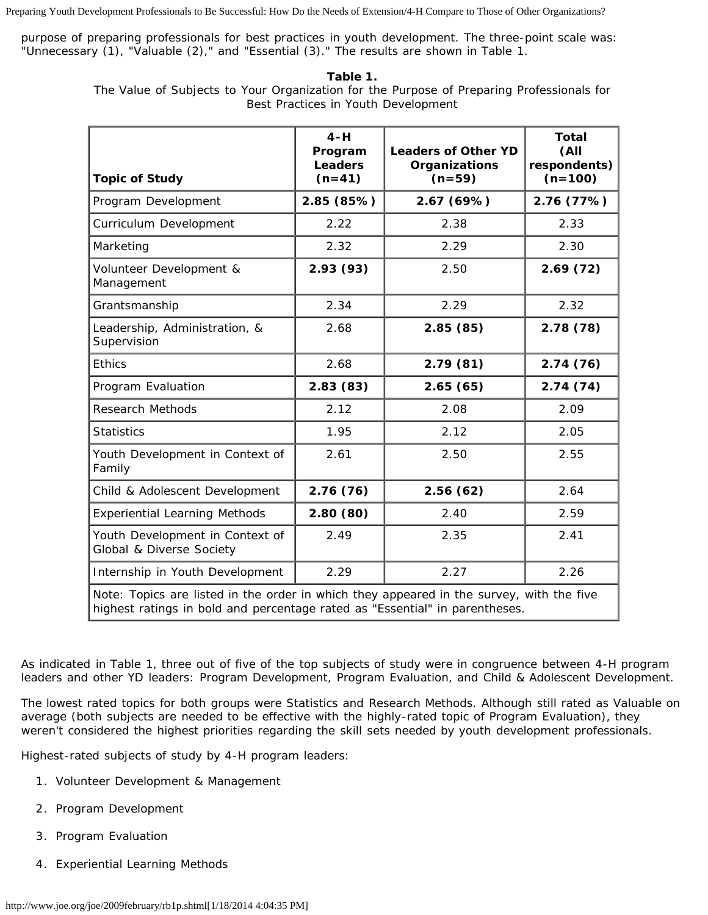Preparing Youth Development Professionals to Be Successful: How Do the Needs of Extension/4-H Compare to Those of Other Organizations?

purpose of preparing professionals for best practices in youth development. The three-point scale was: "Unnecessary (1), "Valuable (2)," and "Essential (3)." The results are shown in Table 1.

**Table 1.**

The Value of Subjects to Your Organization for the Purpose of Preparing Professionals for Best Practices in Youth Development

| <b>Topic of Study</b>                                                                                                                                                   | $4 - H$<br>Program<br>Leaders<br>$(n=41)$ | <b>Leaders of Other YD</b><br>Organizations<br>$(n=59)$ | <b>Total</b><br>(AII)<br>respondents)<br>$(n=100)$ |  |
|-------------------------------------------------------------------------------------------------------------------------------------------------------------------------|-------------------------------------------|---------------------------------------------------------|----------------------------------------------------|--|
| Program Development                                                                                                                                                     | 2.85 (85%)                                | 2.67 (69%)                                              | 2.76 (77%)                                         |  |
| Curriculum Development                                                                                                                                                  | 2.22                                      | 2.38                                                    | 2.33                                               |  |
| Marketing                                                                                                                                                               | 2.32                                      | 2.29                                                    | 2.30                                               |  |
| Volunteer Development &<br>Management                                                                                                                                   | 2.93(93)                                  | 2.50                                                    | 2.69(72)                                           |  |
| Grantsmanship                                                                                                                                                           | 2.34                                      | 2.29                                                    | 2.32                                               |  |
| Leadership, Administration, &<br>Supervision                                                                                                                            | 2.68                                      | 2.85(85)                                                | 2.78(78)                                           |  |
| <b>Ethics</b>                                                                                                                                                           | 2.68                                      | 2.79(81)                                                | 2.74(76)                                           |  |
| Program Evaluation                                                                                                                                                      | 2.83(83)                                  | 2.65(65)                                                | 2.74(74)                                           |  |
| <b>Research Methods</b>                                                                                                                                                 | 2.12                                      | 2.08                                                    | 2.09                                               |  |
| <b>Statistics</b>                                                                                                                                                       | 1.95                                      | 2.12                                                    | 2.05                                               |  |
| Youth Development in Context of<br>Family                                                                                                                               | 2.61                                      | 2.50                                                    | 2.55                                               |  |
| Child & Adolescent Development                                                                                                                                          | 2.76(76)                                  | 2.56(62)                                                | 2.64                                               |  |
| <b>Experiential Learning Methods</b>                                                                                                                                    | 2.80(80)                                  | 2.40                                                    | 2.59                                               |  |
| Youth Development in Context of<br>Global & Diverse Society                                                                                                             | 2.49                                      | 2.35                                                    | 2.41                                               |  |
| Internship in Youth Development                                                                                                                                         | 2.29                                      | 2.27                                                    | 2.26                                               |  |
| Note: Topics are listed in the order in which they appeared in the survey, with the five<br>highest ratings in bold and percentage rated as "Essential" in parentheses. |                                           |                                                         |                                                    |  |

As indicated in Table 1, three out of five of the top subjects of study were in congruence between 4-H program leaders and other YD leaders: Program Development, Program Evaluation, and Child & Adolescent Development.

The lowest rated topics for both groups were Statistics and Research Methods. Although still rated as Valuable on average (both subjects are needed to be effective with the highly-rated topic of Program Evaluation), they weren't considered the highest priorities regarding the skill sets needed by youth development professionals.

Highest-rated subjects of study by 4-H program leaders:

- 1. Volunteer Development & Management
- 2. Program Development
- 3. Program Evaluation
- 4. Experiential Learning Methods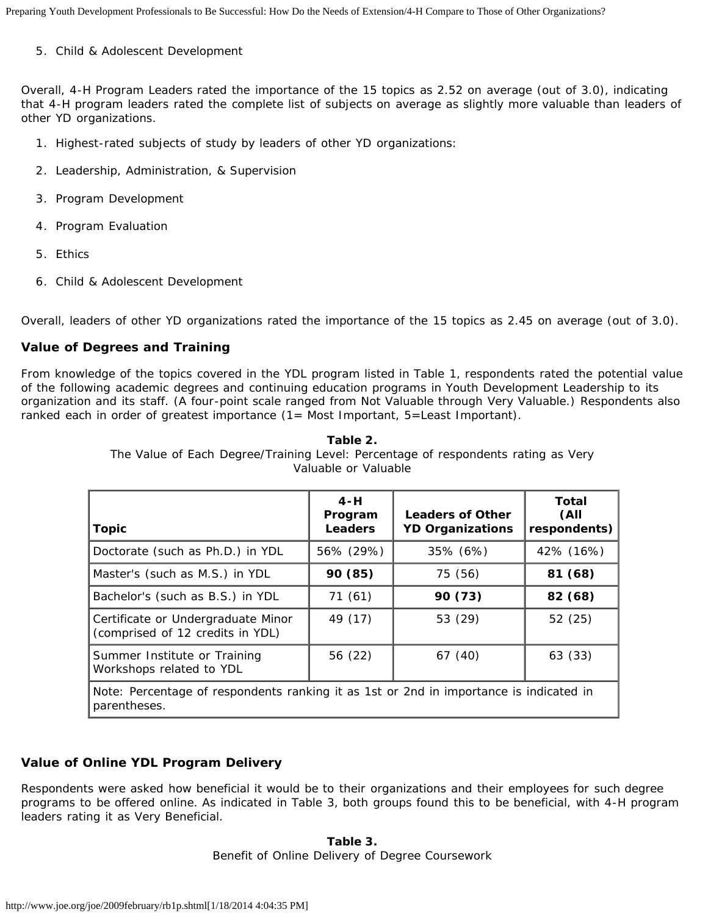5. Child & Adolescent Development

Overall, 4-H Program Leaders rated the importance of the 15 topics as 2.52 on average (out of 3.0), indicating that 4-H program leaders rated the complete list of subjects on average as slightly more valuable than leaders of other YD organizations.

- 1. Highest-rated subjects of study by leaders of other YD organizations:
- 2. Leadership, Administration, & Supervision
- 3. Program Development
- 4. Program Evaluation
- 5. Ethics
- 6. Child & Adolescent Development

Overall, leaders of other YD organizations rated the importance of the 15 topics as 2.45 on average (out of 3.0).

#### **Value of Degrees and Training**

From knowledge of the topics covered in the YDL program listed in Table 1, respondents rated the potential value of the following academic degrees and continuing education programs in Youth Development Leadership to its organization and its staff. (A four-point scale ranged from Not Valuable through Very Valuable.) Respondents also ranked each in order of greatest importance (1= Most Important, 5=Least Important).

| <b>Topic</b>                                                                                           | $4-H$<br>Program<br>Leaders | <b>Leaders of Other</b><br><b>YD Organizations</b> | <b>Total</b><br>(All<br>respondents) |  |
|--------------------------------------------------------------------------------------------------------|-----------------------------|----------------------------------------------------|--------------------------------------|--|
| Doctorate (such as Ph.D.) in YDL                                                                       | 56% (29%)                   | 35% (6%)                                           | 42% (16%)                            |  |
| Master's (such as M.S.) in YDL                                                                         | 90 (85)                     | 75 (56)                                            | 81 (68)                              |  |
| Bachelor's (such as B.S.) in YDL                                                                       | 71(61)                      | 90 (73)                                            | 82 (68)                              |  |
| Certificate or Undergraduate Minor<br>(comprised of 12 credits in YDL)                                 | 49 (17)                     | 53 (29)                                            | 52 (25)                              |  |
| Summer Institute or Training<br>Workshops related to YDL                                               | 56 (22)                     | 67 (40)                                            | 63 (33)                              |  |
| Note: Percentage of respondents ranking it as 1st or 2nd in importance is indicated in<br>parentheses. |                             |                                                    |                                      |  |

**Table 2.**

The Value of Each Degree/Training Level: Percentage of respondents rating as Very Valuable or Valuable

### **Value of Online YDL Program Delivery**

Respondents were asked how beneficial it would be to their organizations and their employees for such degree programs to be offered online. As indicated in Table 3, both groups found this to be beneficial, with 4-H program leaders rating it as Very Beneficial.

> **Table 3.** Benefit of Online Delivery of Degree Coursework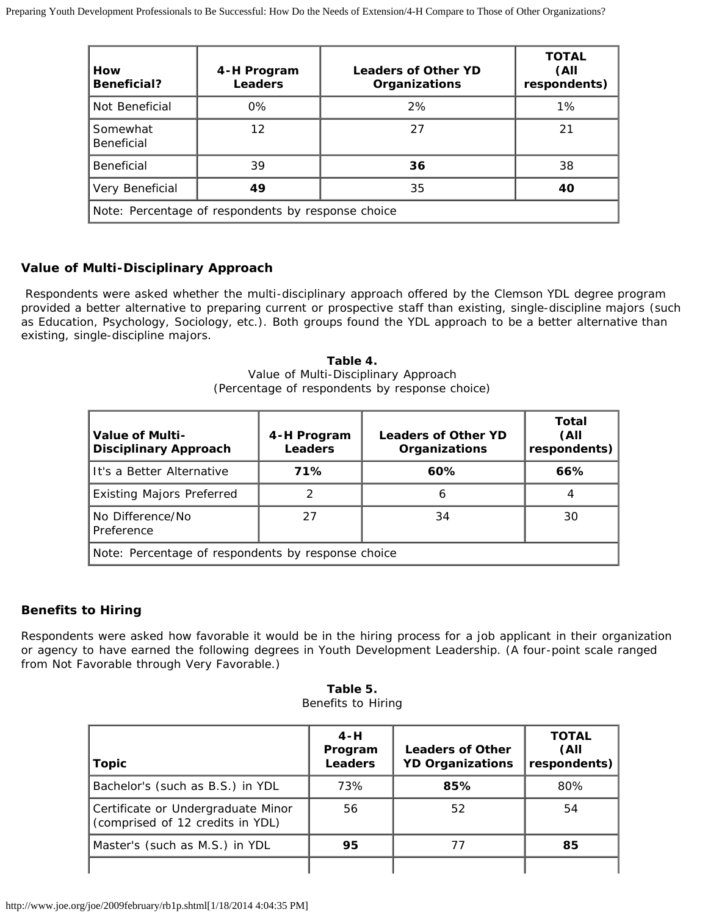| How<br><b>Beneficial?</b>                          | 4-H Program<br><b>Leaders</b> | <b>Leaders of Other YD</b><br>Organizations | <b>TOTAL</b><br>(All<br>respondents) |  |
|----------------------------------------------------|-------------------------------|---------------------------------------------|--------------------------------------|--|
| Not Beneficial                                     | $0\%$                         | 2%                                          | $1\%$                                |  |
| Somewhat<br>Beneficial                             | 12                            | 27                                          | 21                                   |  |
| Beneficial                                         | 39                            | 36                                          | 38                                   |  |
| Very Beneficial                                    | 49                            | 35                                          | 40                                   |  |
| Note: Percentage of respondents by response choice |                               |                                             |                                      |  |

### **Value of Multi-Disciplinary Approach**

 Respondents were asked whether the multi-disciplinary approach offered by the Clemson YDL degree program provided a better alternative to preparing current or prospective staff than existing, single-discipline majors (such as Education, Psychology, Sociology, etc.). Both groups found the YDL approach to be a better alternative than existing, single-discipline majors.

> **Table 4.** Value of Multi-Disciplinary Approach (Percentage of respondents by response choice)

| Value of Multi-<br><b>Disciplinary Approach</b>    | 4-H Program<br><b>Leaders</b> | <b>Leaders of Other YD</b><br>Organizations | Total<br>(All<br>respondents) |  |
|----------------------------------------------------|-------------------------------|---------------------------------------------|-------------------------------|--|
| It's a Better Alternative                          | 71%                           | 60%                                         | 66%                           |  |
| <b>Existing Majors Preferred</b>                   | 2                             | 6                                           | 4                             |  |
| No Difference/No<br>Preference                     | 27                            | 34                                          | 30                            |  |
| Note: Percentage of respondents by response choice |                               |                                             |                               |  |

### **Benefits to Hiring**

Respondents were asked how favorable it would be in the hiring process for a job applicant in their organization or agency to have earned the following degrees in Youth Development Leadership. (A four-point scale ranged from Not Favorable through Very Favorable.)

| Table 5.           |  |  |  |  |
|--------------------|--|--|--|--|
| Benefits to Hiring |  |  |  |  |

| <b>Topic</b>                                                           | $4-H$<br>Program<br><b>Leaders</b> | <b>Leaders of Other</b><br><b>YD Organizations</b> | <b>TOTAL</b><br>(All<br>respondents) |
|------------------------------------------------------------------------|------------------------------------|----------------------------------------------------|--------------------------------------|
| Bachelor's (such as B.S.) in YDL                                       | 73%                                | 85%                                                | 80%                                  |
| Certificate or Undergraduate Minor<br>(comprised of 12 credits in YDL) | 56                                 | 52                                                 | 54                                   |
| Master's (such as M.S.) in YDL                                         | 95                                 | 77                                                 | 85                                   |
|                                                                        |                                    |                                                    |                                      |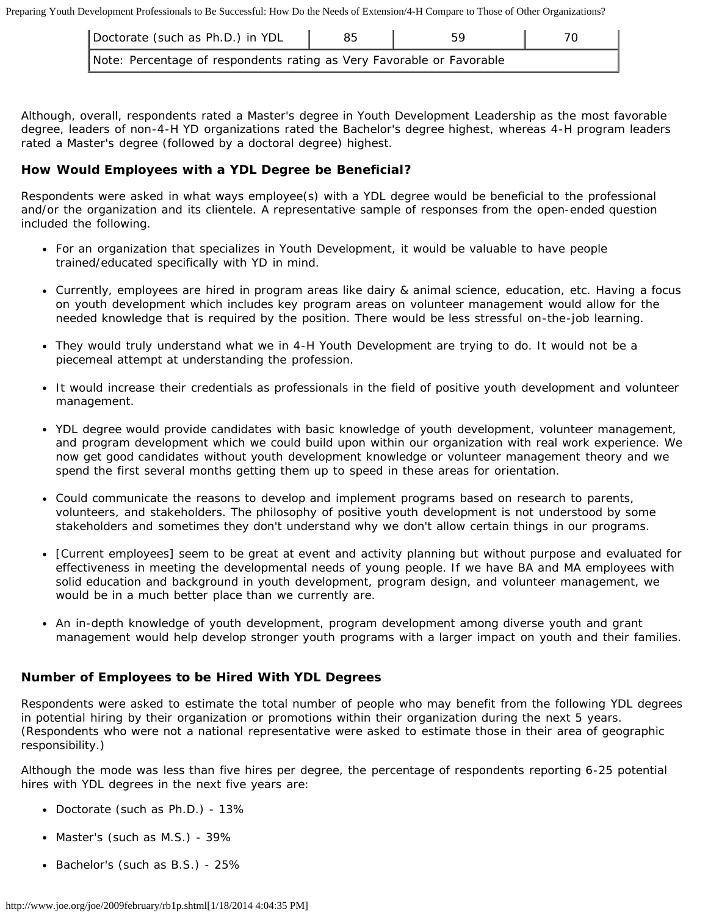Preparing Youth Development Professionals to Be Successful: How Do the Needs of Extension/4-H Compare to Those of Other Organizations?

| Doctorate (such as Ph.D.) in YDL                                      |  |  |
|-----------------------------------------------------------------------|--|--|
| Note: Percentage of respondents rating as Very Favorable or Favorable |  |  |

Although, overall, respondents rated a Master's degree in Youth Development Leadership as the most favorable degree, leaders of non-4-H YD organizations rated the Bachelor's degree highest, whereas 4-H program leaders rated a Master's degree (followed by a doctoral degree) highest.

#### **How Would Employees with a YDL Degree be Beneficial?**

Respondents were asked in what ways employee(s) with a YDL degree would be beneficial to the professional and/or the organization and its clientele. A representative sample of responses from the open-ended question included the following.

- For an organization that specializes in Youth Development, it would be valuable to have people trained/educated specifically with YD in mind.
- Currently, employees are hired in program areas like dairy & animal science, education, etc. Having a focus on youth development which includes key program areas on volunteer management would allow for the needed knowledge that is required by the position. There would be less stressful on-the-job learning.
- They would truly understand what we in 4-H Youth Development are trying to do. It would not be a piecemeal attempt at understanding the profession.
- It would increase their credentials as professionals in the field of positive youth development and volunteer management.
- YDL degree would provide candidates with basic knowledge of youth development, volunteer management, and program development which we could build upon within our organization with real work experience. We now get good candidates without youth development knowledge or volunteer management theory and we spend the first several months getting them up to speed in these areas for orientation.
- Could communicate the reasons to develop and implement programs based on research to parents, volunteers, and stakeholders. The philosophy of positive youth development is not understood by some stakeholders and sometimes they don't understand why we don't allow certain things in our programs.
- [Current employees] seem to be great at event and activity planning but without purpose and evaluated for effectiveness in meeting the developmental needs of young people. If we have BA and MA employees with solid education and background in youth development, program design, and volunteer management, we would be in a much better place than we currently are.
- An in-depth knowledge of youth development, program development among diverse youth and grant management would help develop stronger youth programs with a larger impact on youth and their families.

#### **Number of Employees to be Hired With YDL Degrees**

Respondents were asked to estimate the total number of people who may benefit from the following YDL degrees in potential hiring by their organization or promotions within their organization during the next 5 years. (Respondents who were not a national representative were asked to estimate those in their area of geographic responsibility.)

Although the mode was less than five hires per degree, the percentage of respondents reporting 6-25 potential hires with YDL degrees in the next five years are:

- Doctorate (such as Ph.D.) 13%
- Master's (such as M.S.) 39%
- Bachelor's (such as B.S.) 25%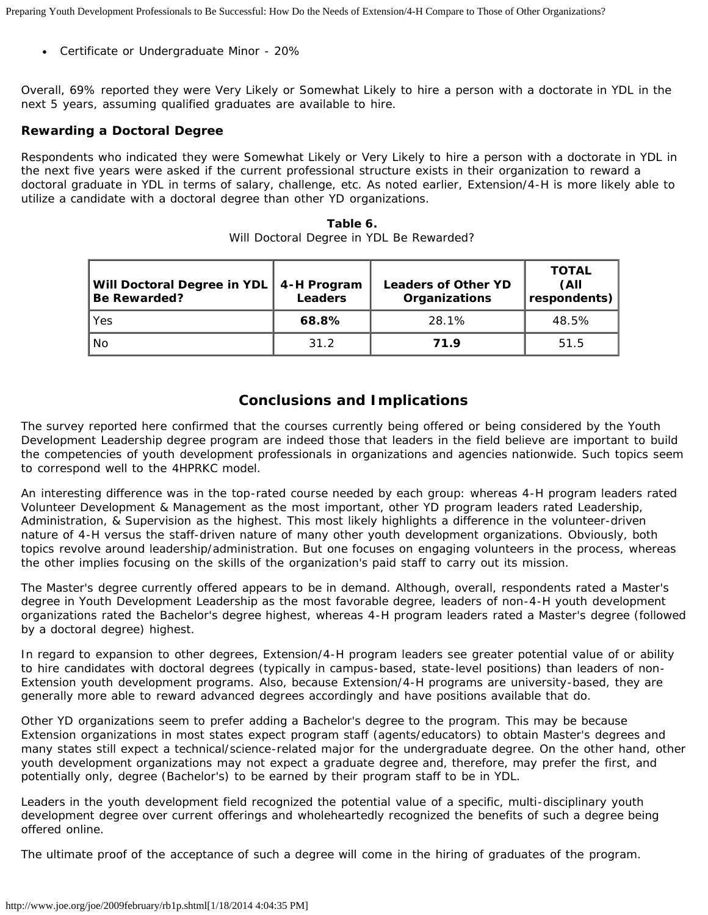Certificate or Undergraduate Minor - 20%

Overall, 69% reported they were Very Likely or Somewhat Likely to hire a person with a doctorate in YDL in the next 5 years, assuming qualified graduates are available to hire.

#### **Rewarding a Doctoral Degree**

Respondents who indicated they were Somewhat Likely or Very Likely to hire a person with a doctorate in YDL in the next five years were asked if the current professional structure exists in their organization to reward a doctoral graduate in YDL in terms of salary, challenge, etc. As noted earlier, Extension/4-H is more likely able to utilize a candidate with a doctoral degree than other YD organizations.

| Table 6. |  |  |  |  |  |                                          |
|----------|--|--|--|--|--|------------------------------------------|
|          |  |  |  |  |  | Will Doctoral Degree in YDL Be Rewarded? |

| Will Doctoral Degree in YDL   4-H Program<br><b>Be Rewarded?</b> | <b>Leaders</b> | <b>Leaders of Other YD</b><br><b>Organizations</b> | <b>TOTAL</b><br>(All<br>respondents) |
|------------------------------------------------------------------|----------------|----------------------------------------------------|--------------------------------------|
| Yes                                                              | 68.8%          | 28.1%                                              | 48.5%                                |
| No                                                               | 31.2           | 71.9                                               | 51.5                                 |

# **Conclusions and Implications**

The survey reported here confirmed that the courses currently being offered or being considered by the Youth Development Leadership degree program are indeed those that leaders in the field believe are important to build the competencies of youth development professionals in organizations and agencies nationwide. Such topics seem to correspond well to the 4HPRKC model.

An interesting difference was in the top-rated course needed by each group: whereas 4-H program leaders rated Volunteer Development & Management as the most important, other YD program leaders rated Leadership, Administration, & Supervision as the highest. This most likely highlights a difference in the volunteer-driven nature of 4-H versus the staff-driven nature of many other youth development organizations. Obviously, both topics revolve around leadership/administration. But one focuses on engaging volunteers in the process, whereas the other implies focusing on the skills of the organization's paid staff to carry out its mission.

The Master's degree currently offered appears to be in demand. Although, overall, respondents rated a Master's degree in Youth Development Leadership as the most favorable degree, leaders of non-4-H youth development organizations rated the Bachelor's degree highest, whereas 4-H program leaders rated a Master's degree (followed by a doctoral degree) highest.

In regard to expansion to other degrees, Extension/4-H program leaders see greater potential value of or ability to hire candidates with doctoral degrees (typically in campus-based, state-level positions) than leaders of non-Extension youth development programs. Also, because Extension/4-H programs are university-based, they are generally more able to reward advanced degrees accordingly and have positions available that do.

Other YD organizations seem to prefer adding a Bachelor's degree to the program. This may be because Extension organizations in most states expect program staff (agents/educators) to obtain Master's degrees and many states still expect a technical/science-related major for the undergraduate degree. On the other hand, other youth development organizations may not expect a graduate degree and, therefore, may prefer the first, and potentially only, degree (Bachelor's) to be earned by their program staff to be in YDL.

Leaders in the youth development field recognized the potential value of a specific, multi-disciplinary youth development degree over current offerings and wholeheartedly recognized the benefits of such a degree being offered online.

The ultimate proof of the acceptance of such a degree will come in the hiring of graduates of the program.